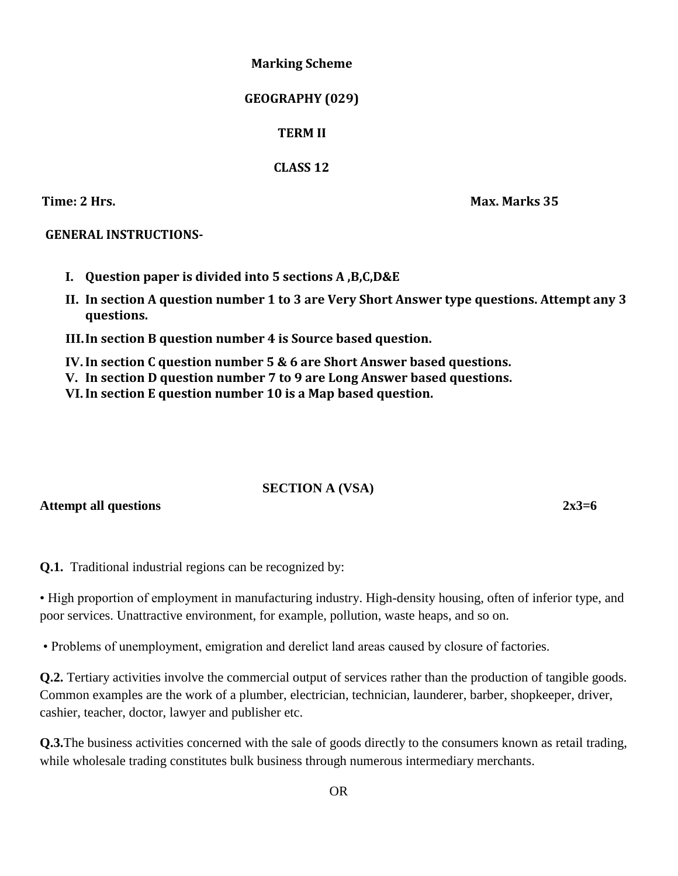### **Marking Scheme**

## **GEOGRAPHY (029)**

# **TERM II**

# **CLASS 12**

**Time: 2 Hrs. Max. Marks 35**

# **GENERAL INSTRUCTIONS-**

- **I. Question paper is divided into 5 sections A ,B,C,D&E**
- **II. In section A question number 1 to 3 are Very Short Answer type questions. Attempt any 3 questions.**

**III.In section B question number 4 is Source based question.**

**IV.In section C question number 5 & 6 are Short Answer based questions.**

- **V. In section D question number 7 to 9 are Long Answer based questions.**
- **VI.In section E question number 10 is a Map based question.**

# **SECTION A (VSA)**

Attempt all questions 2x3=6

**Q.1.** Traditional industrial regions can be recognized by:

• High proportion of employment in manufacturing industry. High-density housing, often of inferior type, and poor services. Unattractive environment, for example, pollution, waste heaps, and so on.

• Problems of unemployment, emigration and derelict land areas caused by closure of factories.

**Q.2.** Tertiary activities involve the commercial output of services rather than the production of tangible goods. Common examples are the work of a plumber, electrician, technician, launderer, barber, shopkeeper, driver, cashier, teacher, doctor, lawyer and publisher etc.

**Q.3.**The business activities concerned with the sale of goods directly to the consumers known as retail trading, while wholesale trading constitutes bulk business through numerous intermediary merchants.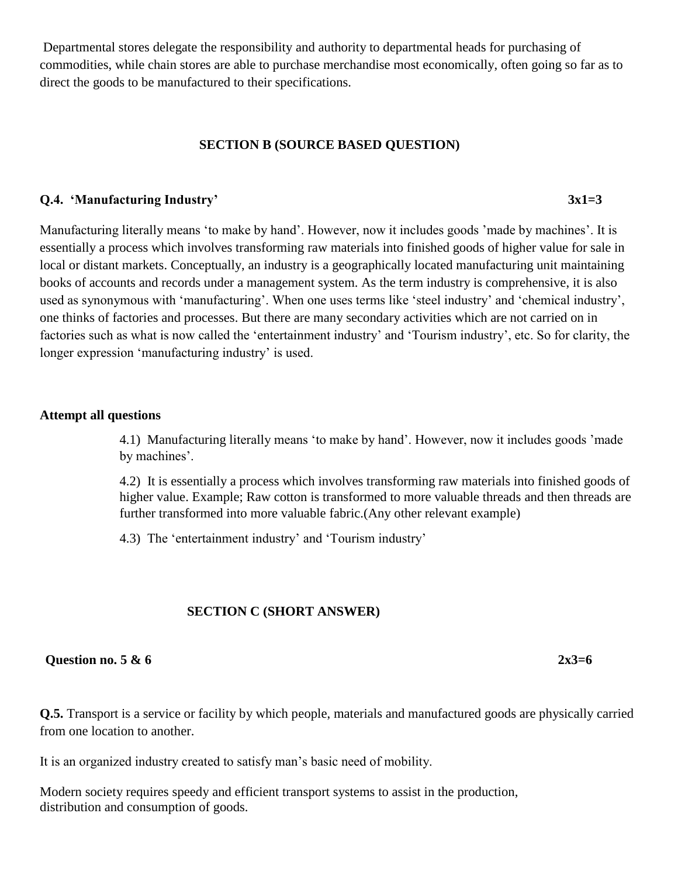Departmental stores delegate the responsibility and authority to departmental heads for purchasing of commodities, while chain stores are able to purchase merchandise most economically, often going so far as to direct the goods to be manufactured to their specifications.

### **SECTION B (SOURCE BASED QUESTION)**

### **Q.4. 'Manufacturing Industry' 3x1=3**

Manufacturing literally means 'to make by hand'. However, now it includes goods 'made by machines'. It is essentially a process which involves transforming raw materials into finished goods of higher value for sale in local or distant markets. Conceptually, an industry is a geographically located manufacturing unit maintaining books of accounts and records under a management system. As the term industry is comprehensive, it is also used as synonymous with 'manufacturing'. When one uses terms like 'steel industry' and 'chemical industry', one thinks of factories and processes. But there are many secondary activities which are not carried on in factories such as what is now called the 'entertainment industry' and 'Tourism industry', etc. So for clarity, the longer expression 'manufacturing industry' is used.

### **Attempt all questions**

4.1) Manufacturing literally means 'to make by hand'. However, now it includes goods 'made by machines'.

4.2) It is essentially a process which involves transforming raw materials into finished goods of higher value. Example; Raw cotton is transformed to more valuable threads and then threads are further transformed into more valuable fabric.(Any other relevant example)

4.3) The 'entertainment industry' and 'Tourism industry'

## **SECTION C (SHORT ANSWER)**

### **Question no. 5 & 6 2x3=6**

**Q.5.** Transport is a service or facility by which people, materials and manufactured goods are physically carried from one location to another.

It is an organized industry created to satisfy man's basic need of mobility.

Modern society requires speedy and efficient transport systems to assist in the production, distribution and consumption of goods.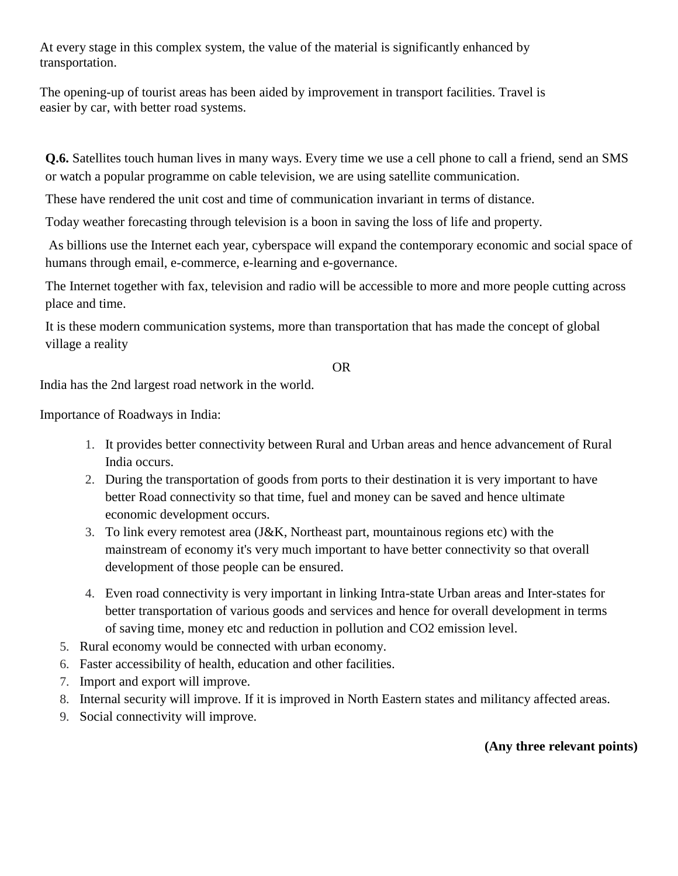At every stage in this complex system, the value of the material is significantly enhanced by transportation.

The opening-up of tourist areas has been aided by improvement in transport facilities. Travel is easier by car, with better road systems.

**Q.6.** Satellites touch human lives in many ways. Every time we use a cell phone to call a friend, send an SMS or watch a popular programme on cable television, we are using satellite communication.

These have rendered the unit cost and time of communication invariant in terms of distance.

Today weather forecasting through television is a boon in saving the loss of life and property.

As billions use the Internet each year, cyberspace will expand the contemporary economic and social space of humans through email, e-commerce, e-learning and e-governance.

The Internet together with fax, television and radio will be accessible to more and more people cutting across place and time.

It is these modern communication systems, more than transportation that has made the concept of global village a reality

OR

India has the 2nd largest road network in the world.

Importance of Roadways in India:

- 1. It provides better connectivity between Rural and Urban areas and hence advancement of Rural India occurs.
- 2. During the transportation of goods from ports to their destination it is very important to have better Road connectivity so that time, fuel and money can be saved and hence ultimate economic development occurs.
- 3. To link every remotest area (J&K, Northeast part, mountainous regions etc) with the mainstream of economy it's very much important to have better connectivity so that overall development of those people can be ensured.
- 4. Even road connectivity is very important in linking Intra-state Urban areas and Inter-states for better transportation of various goods and services and hence for overall development in terms of saving time, money etc and reduction in pollution and CO2 emission level.
- 5. Rural economy would be connected with urban economy.
- 6. Faster accessibility of health, education and other facilities.
- 7. Import and export will improve.
- 8. Internal security will improve. If it is improved in North Eastern states and militancy affected areas.
- 9. Social connectivity will improve.

**(Any three relevant points)**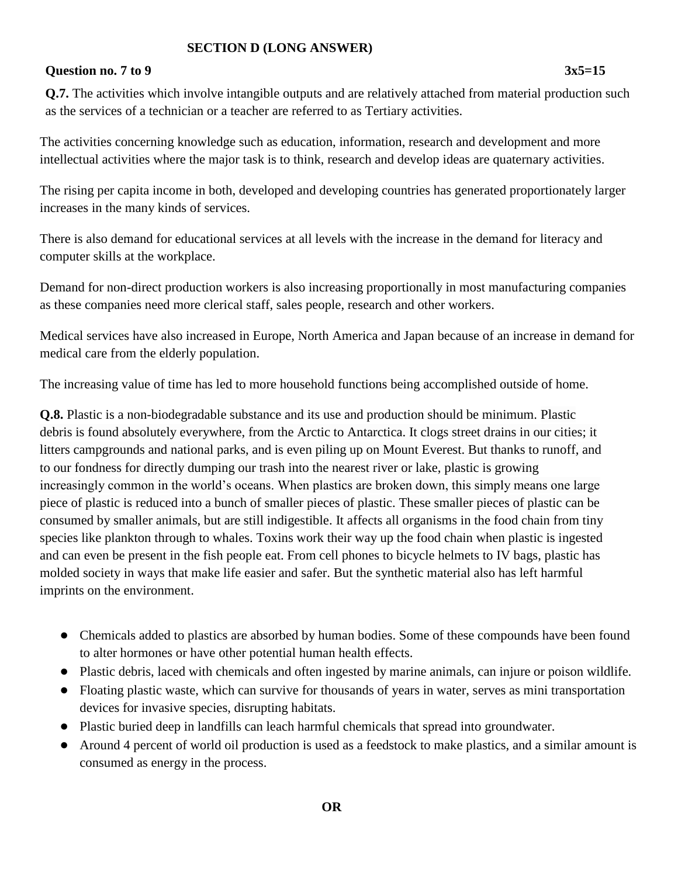# **SECTION D (LONG ANSWER)**

# **Question no. 7 to 9 3x5=15**

**Q.7.** The activities which involve intangible outputs and are relatively attached from material production such as the services of a technician or a teacher are referred to as Tertiary activities.

The activities concerning knowledge such as education, information, research and development and more intellectual activities where the major task is to think, research and develop ideas are quaternary activities.

The rising per capita income in both, developed and developing countries has generated proportionately larger increases in the many kinds of services.

There is also demand for educational services at all levels with the increase in the demand for literacy and computer skills at the workplace.

Demand for non-direct production workers is also increasing proportionally in most manufacturing companies as these companies need more clerical staff, sales people, research and other workers.

Medical services have also increased in Europe, North America and Japan because of an increase in demand for medical care from the elderly population.

The increasing value of time has led to more household functions being accomplished outside of home.

**Q.8.** Plastic is a non-biodegradable substance and its use and production should be minimum. Plastic debris is found absolutely everywhere, from the Arctic to Antarctica. It clogs street drains in our cities; it litters campgrounds and national parks, and is even piling up on Mount Everest. But thanks to runoff, and to our fondness for directly dumping our trash into the nearest river or lake, plastic is growing increasingly common in the world's oceans. When plastics are broken down, this simply means one large piece of plastic is reduced into a bunch of smaller pieces of plastic. These smaller pieces of plastic can be consumed by smaller animals, but are still indigestible. It affects all organisms in the food chain from tiny species like plankton through to whales. Toxins work their way up the food chain when plastic is ingested and can even be present in the fish people eat. From cell phones to bicycle helmets to IV bags, plastic has molded society in ways that make life easier and safer. But the synthetic material also has left harmful imprints on the environment.

- Chemicals added to plastics are absorbed by human bodies. Some of these compounds have been found to alter hormones or have other potential human health effects.
- Plastic debris, laced with chemicals and often ingested by marine animals, can injure or poison wildlife.
- Floating plastic waste, which can survive for thousands of years in water, serves as mini transportation devices for invasive species, disrupting habitats.
- Plastic buried deep in landfills can leach harmful chemicals that spread into groundwater.
- Around 4 percent of world oil production is used as a feedstock to make plastics, and a similar amount is consumed as energy in the process.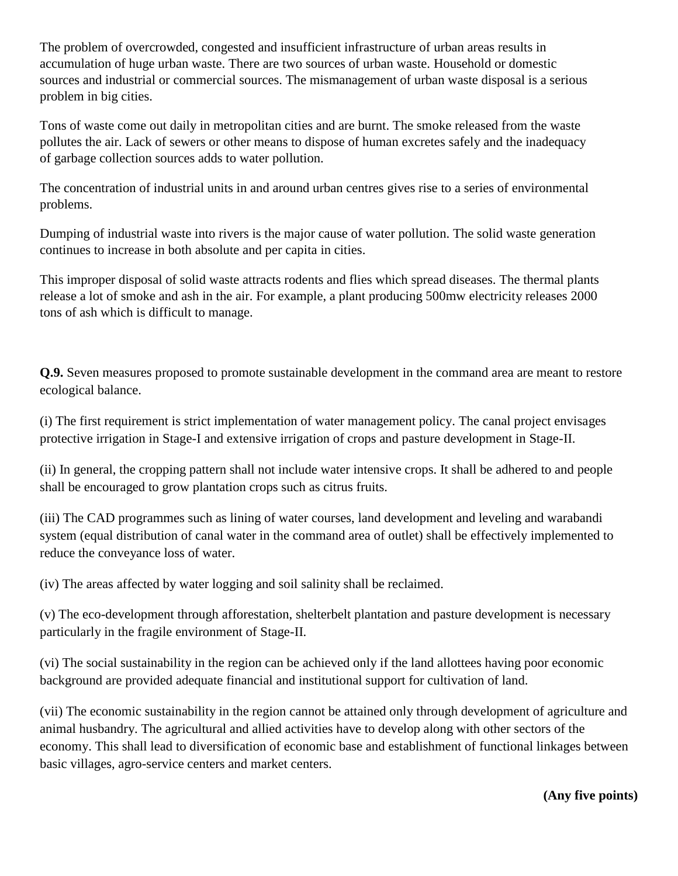The problem of overcrowded, congested and insufficient infrastructure of urban areas results in accumulation of huge urban waste. There are two sources of urban waste. Household or domestic sources and industrial or commercial sources. The mismanagement of urban waste disposal is a serious problem in big cities.

Tons of waste come out daily in metropolitan cities and are burnt. The smoke released from the waste pollutes the air. Lack of sewers or other means to dispose of human excretes safely and the inadequacy of garbage collection sources adds to water pollution.

The concentration of industrial units in and around urban centres gives rise to a series of environmental problems.

Dumping of industrial waste into rivers is the major cause of water pollution. The solid waste generation continues to increase in both absolute and per capita in cities.

This improper disposal of solid waste attracts rodents and flies which spread diseases. The thermal plants release a lot of smoke and ash in the air. For example, a plant producing 500mw electricity releases 2000 tons of ash which is difficult to manage.

**Q.9.** Seven measures proposed to promote sustainable development in the command area are meant to restore ecological balance.

(i) The first requirement is strict implementation of water management policy. The canal project envisages protective irrigation in Stage-I and extensive irrigation of crops and pasture development in Stage-II.

(ii) In general, the cropping pattern shall not include water intensive crops. It shall be adhered to and people shall be encouraged to grow plantation crops such as citrus fruits.

(iii) The CAD programmes such as lining of water courses, land development and leveling and warabandi system (equal distribution of canal water in the command area of outlet) shall be effectively implemented to reduce the conveyance loss of water.

(iv) The areas affected by water logging and soil salinity shall be reclaimed.

(v) The eco-development through afforestation, shelterbelt plantation and pasture development is necessary particularly in the fragile environment of Stage-II.

(vi) The social sustainability in the region can be achieved only if the land allottees having poor economic background are provided adequate financial and institutional support for cultivation of land.

(vii) The economic sustainability in the region cannot be attained only through development of agriculture and animal husbandry. The agricultural and allied activities have to develop along with other sectors of the economy. This shall lead to diversification of economic base and establishment of functional linkages between basic villages, agro-service centers and market centers.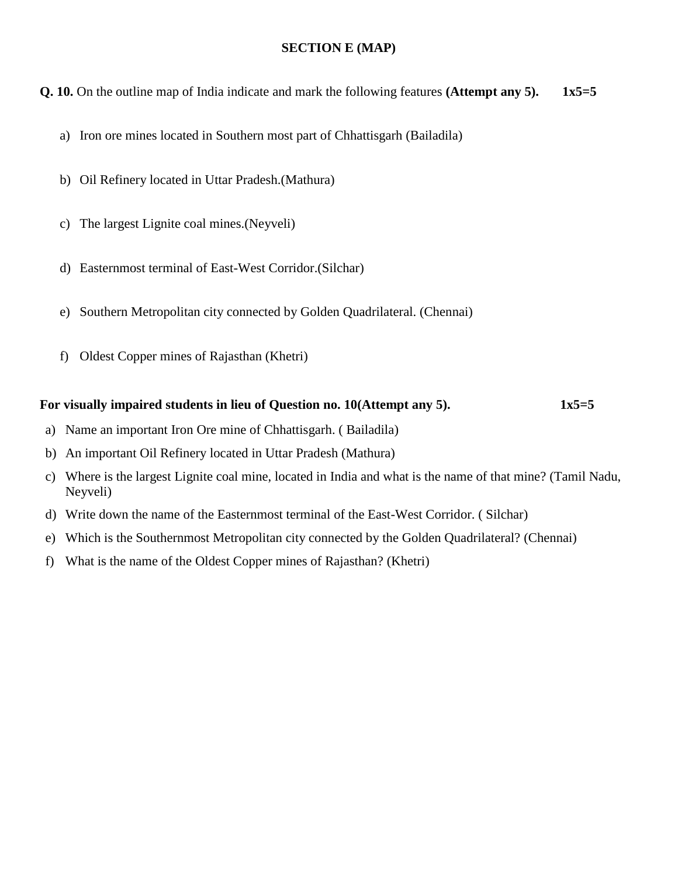### **SECTION E (MAP)**

**Q. 10.** On the outline map of India indicate and mark the following features **(Attempt any 5). 1x5=5**

- a) Iron ore mines located in Southern most part of Chhattisgarh (Bailadila)
- b) Oil Refinery located in Uttar Pradesh.(Mathura)
- c) The largest Lignite coal mines.(Neyveli)
- d) Easternmost terminal of East-West Corridor.(Silchar)
- e) Southern Metropolitan city connected by Golden Quadrilateral. (Chennai)
- f) Oldest Copper mines of Rajasthan (Khetri)

### For visually impaired students in lieu of Question no. 10(Attempt any 5). 1x5=5

- a) Name an important Iron Ore mine of Chhattisgarh. ( Bailadila)
- b) An important Oil Refinery located in Uttar Pradesh (Mathura)
- c) Where is the largest Lignite coal mine, located in India and what is the name of that mine? (Tamil Nadu, Neyveli)
- d) Write down the name of the Easternmost terminal of the East-West Corridor. ( Silchar)
- e) Which is the Southernmost Metropolitan city connected by the Golden Quadrilateral? (Chennai)
- f) What is the name of the Oldest Copper mines of Rajasthan? (Khetri)